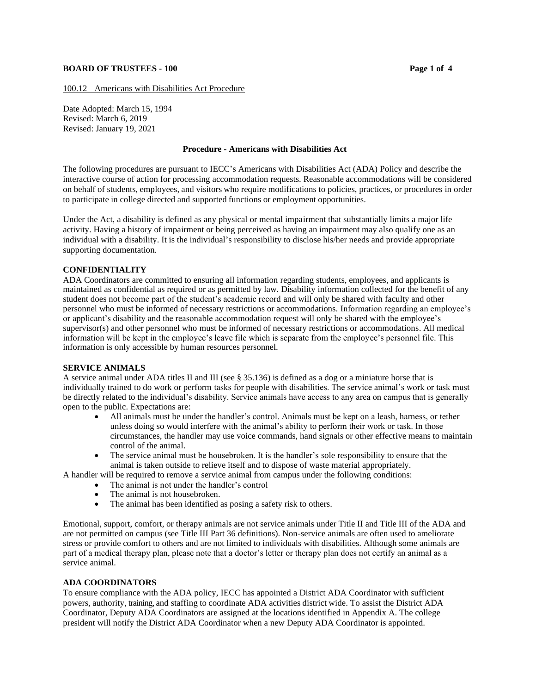## **BOARD OF TRUSTEES - 100 Page 1 of 4**

100.12 Americans with Disabilities Act Procedure

Date Adopted: March 15, 1994 Revised: March 6, 2019 Revised: January 19, 2021

#### **Procedure - Americans with Disabilities Act**

The following procedures are pursuant to IECC's Americans with Disabilities Act (ADA) Policy and describe the interactive course of action for processing accommodation requests. Reasonable accommodations will be considered on behalf of students, employees, and visitors who require modifications to policies, practices, or procedures in order to participate in college directed and supported functions or employment opportunities.

Under the Act, a disability is defined as any physical or mental impairment that substantially limits a major life activity. Having a history of impairment or being perceived as having an impairment may also qualify one as an individual with a disability. It is the individual's responsibility to disclose his/her needs and provide appropriate supporting documentation.

#### **CONFIDENTIALITY**

ADA Coordinators are committed to ensuring all information regarding students, employees, and applicants is maintained as confidential as required or as permitted by law. Disability information collected for the benefit of any student does not become part of the student's academic record and will only be shared with faculty and other personnel who must be informed of necessary restrictions or accommodations. Information regarding an employee's or applicant's disability and the reasonable accommodation request will only be shared with the employee's supervisor(s) and other personnel who must be informed of necessary restrictions or accommodations. All medical information will be kept in the employee's leave file which is separate from the employee's personnel file. This information is only accessible by human resources personnel.

#### **SERVICE ANIMALS**

A service animal under ADA titles II and III (see § 35.136) is defined as a dog or a miniature horse that is individually trained to do work or perform tasks for people with disabilities. The service animal's work or task must be directly related to the individual's disability. Service animals have access to any area on campus that is generally open to the public. Expectations are:

- All animals must be under the handler's control. Animals must be kept on a leash, harness, or tether unless doing so would interfere with the animal's ability to perform their work or task. In those circumstances, the handler may use voice commands, hand signals or other effective means to maintain control of the animal.
- The service animal must be housebroken. It is the handler's sole responsibility to ensure that the animal is taken outside to relieve itself and to dispose of waste material appropriately.

A handler will be required to remove a service animal from campus under the following conditions:

- The animal is not under the handler's control
- The animal is not housebroken.<br>• The animal has been identified a
- The animal has been identified as posing a safety risk to others.

Emotional, support, comfort, or therapy animals are not service animals under Title II and Title III of the ADA and are not permitted on campus (see Title III Part 36 definitions). Non-service animals are often used to ameliorate stress or provide comfort to others and are not limited to individuals with disabilities. Although some animals are part of a medical therapy plan, please note that a doctor's letter or therapy plan does not certify an animal as a service animal.

### **ADA COORDINATORS**

To ensure compliance with the ADA policy, IECC has appointed a District ADA Coordinator with sufficient powers, authority, training, and staffing to coordinate ADA activities district wide. To assist the District ADA Coordinator, Deputy ADA Coordinators are assigned at the locations identified in Appendix A. The college president will notify the District ADA Coordinator when a new Deputy ADA Coordinator is appointed.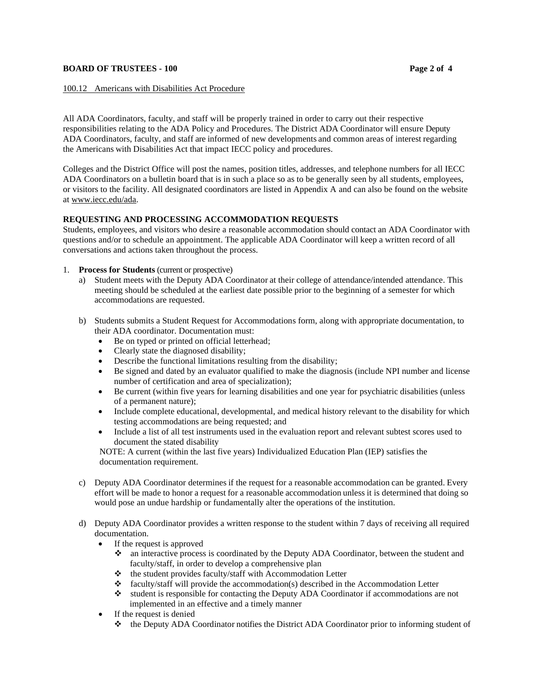## **BOARD OF TRUSTEES - 100 Page 2** of 4

## 100.12 Americans with Disabilities Act Procedure

All ADA Coordinators, faculty, and staff will be properly trained in order to carry out their respective responsibilities relating to the ADA Policy and Procedures. The District ADA Coordinator will ensure Deputy ADA Coordinators, faculty, and staff are informed of new developments and common areas of interest regarding the Americans with Disabilities Act that impact IECC policy and procedures.

Colleges and the District Office will post the names, position titles, addresses, and telephone numbers for all IECC ADA Coordinators on a bulletin board that is in such a place so as to be generally seen by all students, employees, or visitors to the facility. All designated coordinators are listed in Appendix A and can also be found on the website a[t www.iecc.edu/ada.](http://www.iecc.edu/ada)

# **REQUESTING AND PROCESSING ACCOMMODATION REQUESTS**

Students, employees, and visitors who desire a reasonable accommodation should contact an ADA Coordinator with questions and/or to schedule an appointment. The applicable ADA Coordinator will keep a written record of all conversations and actions taken throughout the process.

- 1. **Process for Students** (current or prospective)
	- a) Student meets with the Deputy ADA Coordinator at their college of attendance/intended attendance. This meeting should be scheduled at the earliest date possible prior to the beginning of a semester for which accommodations are requested.
	- b) Students submits a Student Request for Accommodations form, along with appropriate documentation, to their ADA coordinator. Documentation must:
		- Be on typed or printed on official letterhead;
		- Clearly state the diagnosed disability;
		- Describe the functional limitations resulting from the disability;
		- Be signed and dated by an evaluator qualified to make the diagnosis (include NPI number and license number of certification and area of specialization);
		- Be current (within five years for learning disabilities and one year for psychiatric disabilities (unless of a permanent nature);
		- Include complete educational, developmental, and medical history relevant to the disability for which testing accommodations are being requested; and
		- Include a list of all test instruments used in the evaluation report and relevant subtest scores used to document the stated disability

NOTE: A current (within the last five years) Individualized Education Plan (IEP) satisfies the documentation requirement.

- c) Deputy ADA Coordinator determines if the request for a reasonable accommodation can be granted. Every effort will be made to honor a request for a reasonable accommodation unless it is determined that doing so would pose an undue hardship or fundamentally alter the operations of the institution.
- d) Deputy ADA Coordinator provides a written response to the student within 7 days of receiving all required documentation.
	- If the request is approved
		- ❖ an interactive process is coordinated by the Deputy ADA Coordinator, between the student and faculty/staff, in order to develop a comprehensive plan
		- ❖ the student provides faculty/staff with Accommodation Letter
		- ❖ faculty/staff will provide the accommodation(s) described in the Accommodation Letter
		- ❖ student is responsible for contacting the Deputy ADA Coordinator if accommodations are not implemented in an effective and a timely manner
	- If the request is denied
		- ❖ the Deputy ADA Coordinator notifies the District ADA Coordinator prior to informing student of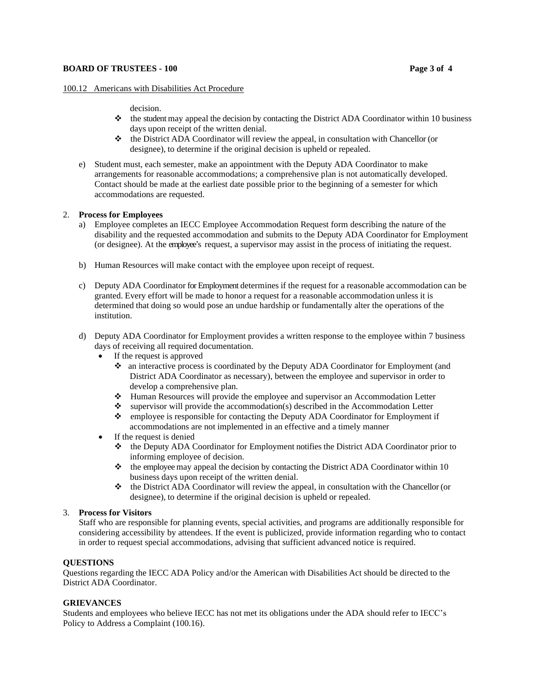### **BOARD OF TRUSTEES - 100 Page 3** of 4

## 100.12Americans with Disabilities Act Procedure

decision.

- ❖ the student may appeal the decision by contacting the District ADA Coordinator within 10 business days upon receipt of the written denial.
- ❖ the District ADA Coordinator will review the appeal, in consultation with Chancellor (or designee), to determine if the original decision is upheld or repealed.
- e) Student must, each semester, make an appointment with the Deputy ADA Coordinator to make arrangements for reasonable accommodations; a comprehensive plan is not automatically developed. Contact should be made at the earliest date possible prior to the beginning of a semester for which accommodations are requested.

## 2. **Process for Employees**

- a) Employee completes an IECC Employee Accommodation Request form describing the nature of the disability and the requested accommodation and submits to the Deputy ADA Coordinator for Employment (or designee). At the employee's request, a supervisor may assist in the process of initiating the request.
- b) Human Resources will make contact with the employee upon receipt of request.
- c) Deputy ADA Coordinator forEmployment determines if the request for a reasonable accommodation can be granted. Every effort will be made to honor a request for a reasonable accommodation unless it is determined that doing so would pose an undue hardship or fundamentally alter the operations of the institution.
- d) Deputy ADA Coordinator for Employment provides a written response to the employee within 7 business days of receiving all required documentation.
	- If the request is approved
		- ❖ an interactive process is coordinated by the Deputy ADA Coordinator for Employment (and District ADA Coordinator as necessary), between the employee and supervisor in order to develop a comprehensive plan.
		- ❖ Human Resources will provide the employee and supervisor an Accommodation Letter
		- ❖ supervisor will provide the accommodation(s) described in the Accommodation Letter
		- ❖ employee is responsible for contacting the Deputy ADA Coordinator for Employment if accommodations are not implemented in an effective and a timely manner
	- If the request is denied
		- ❖ the Deputy ADA Coordinator for Employment notifies the District ADA Coordinator prior to informing employee of decision.
		- ❖ the employee may appeal the decision by contacting the District ADA Coordinator within 10 business days upon receipt of the written denial.
		- ❖ the District ADA Coordinator will review the appeal, in consultation with the Chancellor (or designee), to determine if the original decision is upheld or repealed.

### 3. **Process for Visitors**

Staff who are responsible for planning events, special activities, and programs are additionally responsible for considering accessibility by attendees. If the event is publicized, provide information regarding who to contact in order to request special accommodations, advising that sufficient advanced notice is required.

# **QUESTIONS**

Questions regarding the IECC ADA Policy and/or the American with Disabilities Act should be directed to the District ADA Coordinator.

# **GRIEVANCES**

Students and employees who believe IECC has not met its obligations under the ADA should refer to IECC's Policy to Address a Complaint (100.16).